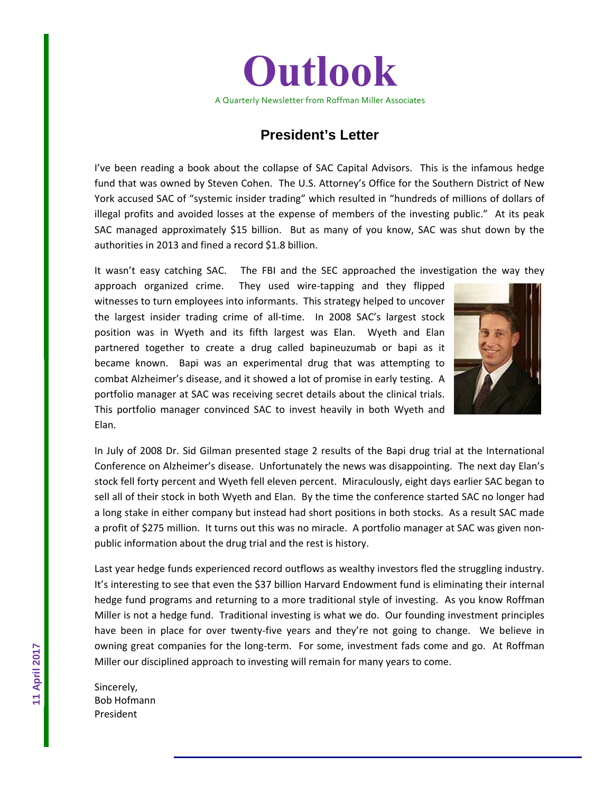

## **President's Letter**

I've been reading a book about the collapse of SAC Capital Advisors. This is the infamous hedge fund that was owned by Steven Cohen. The U.S. Attorney's Office for the Southern District of New York accused SAC of "systemic insider trading" which resulted in "hundreds of millions of dollars of illegal profits and avoided losses at the expense of members of the investing public." At its peak SAC managed approximately \$15 billion. But as many of you know, SAC was shut down by the authorities in 2013 and fined a record \$1.8 billion.

It wasn't easy catching SAC. The FBI and the SEC approached the investigation the way they

approach organized crime. They used wire-tapping and they flipped witnesses to turn employees into informants. This strategy helped to uncover the largest insider trading crime of all-time. In 2008 SAC's largest stock position was in Wyeth and its fifth largest was Elan. Wyeth and Elan partnered together to create a drug called bapineuzumab or bapi as it became known. Bapi was an experimental drug that was attempting to combat Alzheimer's disease, and it showed a lot of promise in early testing. A portfolio manager at SAC was receiving secret details about the clinical trials. This portfolio manager convinced SAC to invest heavily in both Wyeth and Elan.



In July of 2008 Dr. Sid Gilman presented stage 2 results of the Bapi drug trial at the International Conference on Alzheimer's disease. Unfortunately the news was disappointing. The next day Elan's stock fell forty percent and Wyeth fell eleven percent. Miraculously, eight days earlier SAC began to sell all of their stock in both Wyeth and Elan. By the time the conference started SAC no longer had a long stake in either company but instead had short positions in both stocks. As a result SAC made a profit of \$275 million. It turns out this was no miracle. A portfolio manager at SAC was given non‐ public information about the drug trial and the rest is history.

Last year hedge funds experienced record outflows as wealthy investors fled the struggling industry. It's interesting to see that even the \$37 billion Harvard Endowment fund is eliminating their internal hedge fund programs and returning to a more traditional style of investing. As you know Roffman Miller is not a hedge fund. Traditional investing is what we do. Our founding investment principles have been in place for over twenty-five years and they're not going to change. We believe in owning great companies for the long-term. For some, investment fads come and go. At Roffman Miller our disciplined approach to investing will remain for many years to come.

Sincerely, Bob Hofmann President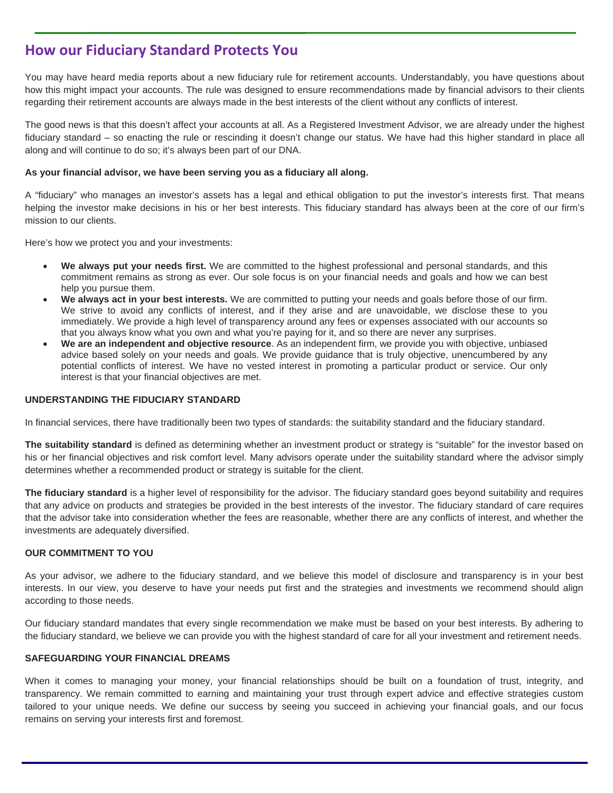# **How our Fiduciary Standard Protects You**

You may have heard media reports about a new fiduciary rule for retirement accounts. Understandably, you have questions about how this might impact your accounts. The rule was designed to ensure recommendations made by financial advisors to their clients regarding their retirement accounts are always made in the best interests of the client without any conflicts of interest.

The good news is that this doesn't affect your accounts at all. As a Registered Investment Advisor, we are already under the highest fiduciary standard – so enacting the rule or rescinding it doesn't change our status. We have had this higher standard in place all along and will continue to do so; it's always been part of our DNA.

### **As your financial advisor, we have been serving you as a fiduciary all along.**

A "fiduciary" who manages an investor's assets has a legal and ethical obligation to put the investor's interests first. That means helping the investor make decisions in his or her best interests. This fiduciary standard has always been at the core of our firm's mission to our clients.

Here's how we protect you and your investments:

- **We always put your needs first.** We are committed to the highest professional and personal standards, and this commitment remains as strong as ever. Our sole focus is on your financial needs and goals and how we can best help you pursue them.
- **We always act in your best interests.** We are committed to putting your needs and goals before those of our firm. We strive to avoid any conflicts of interest, and if they arise and are unavoidable, we disclose these to you immediately. We provide a high level of transparency around any fees or expenses associated with our accounts so that you always know what you own and what you're paying for it, and so there are never any surprises.
- **We are an independent and objective resource**. As an independent firm, we provide you with objective, unbiased advice based solely on your needs and goals. We provide guidance that is truly objective, unencumbered by any potential conflicts of interest. We have no vested interest in promoting a particular product or service. Our only interest is that your financial objectives are met.

### **UNDERSTANDING THE FIDUCIARY STANDARD**

In financial services, there have traditionally been two types of standards: the suitability standard and the fiduciary standard.

**The suitability standard** is defined as determining whether an investment product or strategy is "suitable" for the investor based on his or her financial objectives and risk comfort level. Many advisors operate under the suitability standard where the advisor simply determines whether a recommended product or strategy is suitable for the client.

**The fiduciary standard** is a higher level of responsibility for the advisor. The fiduciary standard goes beyond suitability and requires that any advice on products and strategies be provided in the best interests of the investor. The fiduciary standard of care requires that the advisor take into consideration whether the fees are reasonable, whether there are any conflicts of interest, and whether the investments are adequately diversified.

### **OUR COMMITMENT TO YOU**

As your advisor, we adhere to the fiduciary standard, and we believe this model of disclosure and transparency is in your best interests. In our view, you deserve to have your needs put first and the strategies and investments we recommend should align according to those needs.

Our fiduciary standard mandates that every single recommendation we make must be based on your best interests. By adhering to the fiduciary standard, we believe we can provide you with the highest standard of care for all your investment and retirement needs.

#### **SAFEGUARDING YOUR FINANCIAL DREAMS**

When it comes to managing your money, your financial relationships should be built on a foundation of trust, integrity, and transparency. We remain committed to earning and maintaining your trust through expert advice and effective strategies custom tailored to your unique needs. We define our success by seeing you succeed in achieving your financial goals, and our focus remains on serving your interests first and foremost.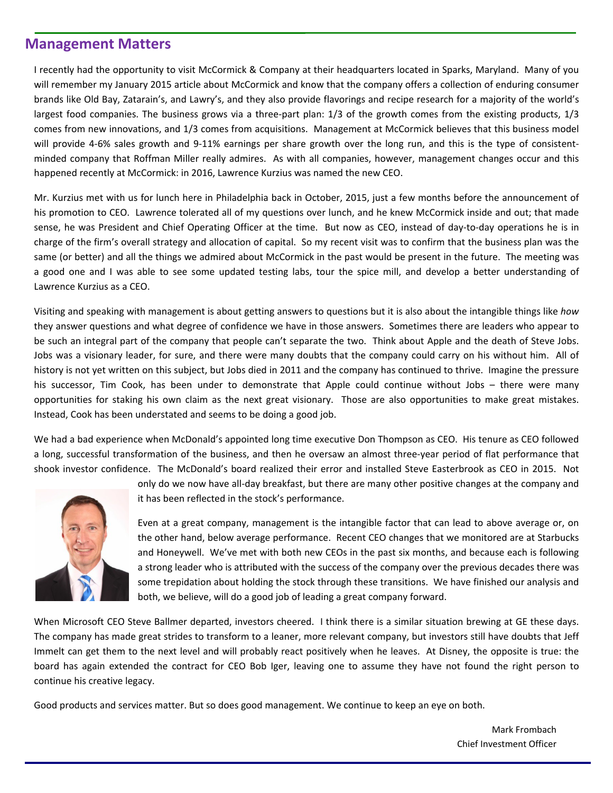### **Management Matters**

I recently had the opportunity to visit McCormick & Company at their headquarters located in Sparks, Maryland. Many of you will remember my January 2015 article about McCormick and know that the company offers a collection of enduring consumer brands like Old Bay, Zatarain's, and Lawry's, and they also provide flavorings and recipe research for a majority of the world's largest food companies. The business grows via a three-part plan: 1/3 of the growth comes from the existing products, 1/3 comes from new innovations, and 1/3 comes from acquisitions. Management at McCormick believes that this business model will provide 4-6% sales growth and 9-11% earnings per share growth over the long run, and this is the type of consistentminded company that Roffman Miller really admires. As with all companies, however, management changes occur and this happened recently at McCormick: in 2016, Lawrence Kurzius was named the new CEO.

Mr. Kurzius met with us for lunch here in Philadelphia back in October, 2015, just a few months before the announcement of his promotion to CEO. Lawrence tolerated all of my questions over lunch, and he knew McCormick inside and out; that made sense, he was President and Chief Operating Officer at the time. But now as CEO, instead of day-to-day operations he is in charge of the firm's overall strategy and allocation of capital. So my recent visit was to confirm that the business plan was the same (or better) and all the things we admired about McCormick in the past would be present in the future. The meeting was a good one and I was able to see some updated testing labs, tour the spice mill, and develop a better understanding of Lawrence Kurzius as a CEO.

Visiting and speaking with management is about getting answers to questions but it is also about the intangible things like *how* they answer questions and what degree of confidence we have in those answers. Sometimes there are leaders who appear to be such an integral part of the company that people can't separate the two. Think about Apple and the death of Steve Jobs. Jobs was a visionary leader, for sure, and there were many doubts that the company could carry on his without him. All of history is not yet written on this subject, but Jobs died in 2011 and the company has continued to thrive. Imagine the pressure his successor, Tim Cook, has been under to demonstrate that Apple could continue without Jobs – there were many opportunities for staking his own claim as the next great visionary. Those are also opportunities to make great mistakes. Instead, Cook has been understated and seems to be doing a good job.

We had a bad experience when McDonald's appointed long time executive Don Thompson as CEO. His tenure as CEO followed a long, successful transformation of the business, and then he oversaw an almost three‐year period of flat performance that shook investor confidence. The McDonald's board realized their error and installed Steve Easterbrook as CEO in 2015. Not



only do we now have all‐day breakfast, but there are many other positive changes at the company and it has been reflected in the stock's performance.

Even at a great company, management is the intangible factor that can lead to above average or, on the other hand, below average performance. Recent CEO changes that we monitored are at Starbucks and Honeywell. We've met with both new CEOs in the past six months, and because each is following a strong leader who is attributed with the success of the company over the previous decades there was some trepidation about holding the stock through these transitions. We have finished our analysis and both, we believe, will do a good job of leading a great company forward.

When Microsoft CEO Steve Ballmer departed, investors cheered. I think there is a similar situation brewing at GE these days. The company has made great strides to transform to a leaner, more relevant company, but investors still have doubts that Jeff Immelt can get them to the next level and will probably react positively when he leaves. At Disney, the opposite is true: the board has again extended the contract for CEO Bob Iger, leaving one to assume they have not found the right person to continue his creative legacy.

Good products and services matter. But so does good management. We continue to keep an eye on both.

Mark Frombach Chief Investment Officer